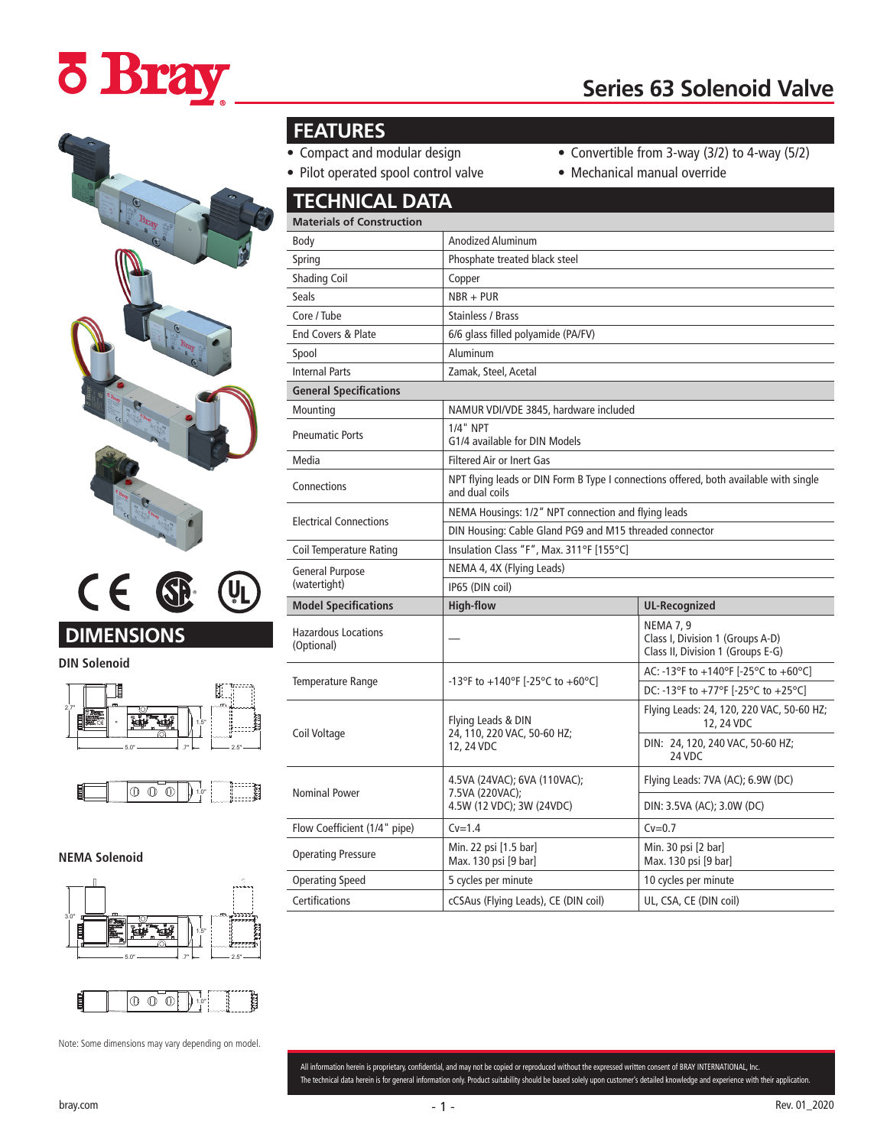# **ö Bray**





**DIN Solenoid**





**NEMA Solenoid**





Note: Some dimensions may vary depending on model.

#### **FEATURES**

- Compact and modular design
- Convertible from 3-way (3/2) to 4-way (5/2)
- $\bullet$  Pilot

| Pilot operated spool control valve       |                                                                                                         | • Mechanical manual override                                                              |
|------------------------------------------|---------------------------------------------------------------------------------------------------------|-------------------------------------------------------------------------------------------|
| <b>TECHNICAL DATA</b>                    |                                                                                                         |                                                                                           |
| <b>Materials of Construction</b>         |                                                                                                         |                                                                                           |
| Body                                     | <b>Anodized Aluminum</b>                                                                                |                                                                                           |
| Spring                                   | Phosphate treated black steel                                                                           |                                                                                           |
| <b>Shading Coil</b>                      | Copper                                                                                                  |                                                                                           |
| <b>Seals</b>                             | $NBR + PUR$                                                                                             |                                                                                           |
| Core / Tube                              | <b>Stainless / Brass</b>                                                                                |                                                                                           |
| End Covers & Plate                       | 6/6 glass filled polyamide (PA/FV)                                                                      |                                                                                           |
| Spool                                    | Aluminum                                                                                                |                                                                                           |
| <b>Internal Parts</b>                    | Zamak, Steel, Acetal                                                                                    |                                                                                           |
| <b>General Specifications</b>            |                                                                                                         |                                                                                           |
| Mounting                                 | NAMUR VDI/VDE 3845, hardware included                                                                   |                                                                                           |
| <b>Pneumatic Ports</b>                   | 1/4" NPT<br>G1/4 available for DIN Models                                                               |                                                                                           |
| Media                                    | <b>Filtered Air or Inert Gas</b>                                                                        |                                                                                           |
| Connections                              | NPT flying leads or DIN Form B Type I connections offered, both available with single<br>and dual coils |                                                                                           |
| <b>Electrical Connections</b>            | NEMA Housings: 1/2" NPT connection and flying leads                                                     |                                                                                           |
|                                          | DIN Housing: Cable Gland PG9 and M15 threaded connector                                                 |                                                                                           |
| <b>Coil Temperature Rating</b>           | Insulation Class "F", Max. 311°F [155°C]                                                                |                                                                                           |
| <b>General Purpose</b><br>(watertight)   | NEMA 4, 4X (Flying Leads)                                                                               |                                                                                           |
|                                          | IP65 (DIN coil)                                                                                         |                                                                                           |
| <b>Model Specifications</b>              | <b>High-flow</b>                                                                                        | <b>UL-Recognized</b>                                                                      |
| <b>Hazardous Locations</b><br>(Optional) |                                                                                                         | <b>NEMA 7, 9</b><br>Class I, Division 1 (Groups A-D)<br>Class II, Division 1 (Groups E-G) |
| Temperature Range                        | -13°F to +140°F [-25°C to +60°C]                                                                        | AC: -13°F to +140°F [-25°C to +60°C]                                                      |
|                                          |                                                                                                         | DC: -13°F to +77°F [-25°C to +25°C]                                                       |
| Coil Voltage                             | Flying Leads & DIN<br>24, 110, 220 VAC, 50-60 HZ;<br>12, 24 VDC                                         | Flying Leads: 24, 120, 220 VAC, 50-60 HZ;<br>12, 24 VDC                                   |
|                                          |                                                                                                         | DIN: 24, 120, 240 VAC, 50-60 HZ;<br>24 VDC                                                |
| <b>Nominal Power</b>                     | 4.5VA (24VAC); 6VA (110VAC);<br>7.5VA (220VAC);<br>4.5W (12 VDC); 3W (24VDC)                            | Flying Leads: 7VA (AC); 6.9W (DC)                                                         |
|                                          |                                                                                                         | DIN: 3.5VA (AC); 3.0W (DC)                                                                |

Min. 30 psi [2 bar] Max. 130 psi [9 bar]

All information herein is proprietary, confidential, and may not be copied or reproduced without the expressed written consent of BRAY INTERNATIONAL, Inc. The technical data herein is for general information only. Product suitability should be based solely upon customer's detailed knowledge and experience with their application.

Flow Coefficient (1/4" pipe) Cv=1.4 Cv=0.7

Max. 130 psi [9 bar]

Operating Speed 5 cycles per minute 10 cycles per minute Certifications cCSAus (Flying Leads), CE (DIN coil) UL, CSA, CE (DIN coil)

Operating Pressure Min. 22 psi [1.5 bar]